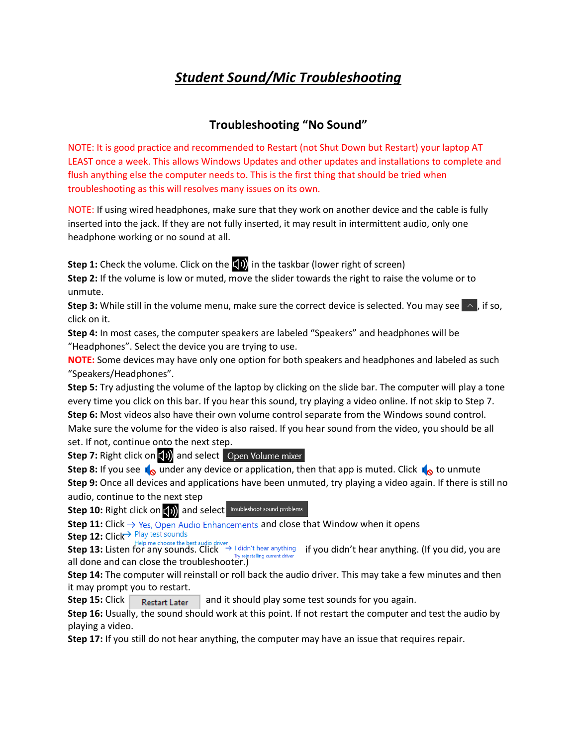## *Student Sound/Mic Troubleshooting*

## **Troubleshooting "No Sound"**

NOTE: It is good practice and recommended to Restart (not Shut Down but Restart) your laptop AT LEAST once a week. This allows Windows Updates and other updates and installations to complete and flush anything else the computer needs to. This is the first thing that should be tried when troubleshooting as this will resolves many issues on its own.

NOTE: If using wired headphones, make sure that they work on another device and the cable is fully inserted into the jack. If they are not fully inserted, it may result in intermittent audio, only one headphone working or no sound at all.

**Step 1:** Check the volume. Click on the **[10]** in the taskbar (lower right of screen)

**Step 2:** If the volume is low or muted, move the slider towards the right to raise the volume or to unmute.

**Step 3:** While still in the volume menu, make sure the correct device is selected. You may see  $\sim$  , if so, click on it.

**Step 4:** In most cases, the computer speakers are labeled "Speakers" and headphones will be "Headphones". Select the device you are trying to use.

**NOTE:** Some devices may have only one option for both speakers and headphones and labeled as such "Speakers/Headphones".

**Step 5:** Try adjusting the volume of the laptop by clicking on the slide bar. The computer will play a tone every time you click on this bar. If you hear this sound, try playing a video online. If not skip to Step 7. **Step 6:** Most videos also have their own volume control separate from the Windows sound control. Make sure the volume for the video is also raised. If you hear sound from the video, you should be all set. If not, continue onto the next step.

**Step 7:** Right click on (1)) and select Open Volume mixer

**Step 8:** If you see  $\sqrt{\omega}$  under any device or application, then that app is muted. Click  $\sqrt{\omega}$  to unmute **Step 9:** Once all devices and applications have been unmuted, try playing a video again. If there is still no audio, continue to the next step

**Step 10:** Right click on (1)) and select **Troubleshoot sound problems** 

**Step 11:** Click  $\rightarrow$  Yes, Open Audio Enhancements and close that Window when it opens

**Step 12:** Click

Step 13: Listen for any sounds. Click → I didn't hear anything if you didn't hear anything. (If you did, you are all done and can close the troubleshooter.)

**Step 14:** The computer will reinstall or roll back the audio driver. This may take a few minutes and then it may prompt you to restart.

**Step 15:** Click Restart Later and it should play some test sounds for you again.

**Step 16:** Usually, the sound should work at this point. If not restart the computer and test the audio by playing a video.

**Step 17:** If you still do not hear anything, the computer may have an issue that requires repair.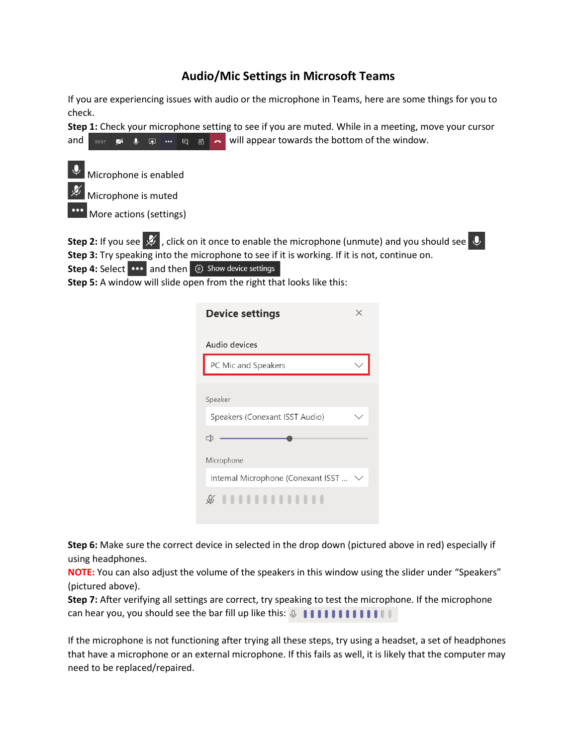## **Audio/Mic Settings in Microsoft Teams**

If you are experiencing issues with audio or the microphone in Teams, here are some things for you to check.

**Step 1:** Check your microphone setting to see if you are muted. While in a meeting, move your cursor and  $\begin{array}{ccc} \bullet & \bullet & \bullet \\ \bullet & \bullet & \bullet \end{array}$   $\begin{array}{ccc} \bullet & \bullet & \bullet \\ \bullet & \bullet & \bullet \end{array}$  will appear towards the bottom of the window.



**Step 2:** If you see  $\cancel{\mathscr{L}}$  , click on it once to enable the microphone (unmute) and you should see  $\color{red}\downarrow$ **Step 3:** Try speaking into the microphone to see if it is working. If it is not, continue on. **Step 4:** Select  $\cdots$  and then  $\otimes$  show device settings

**Step 5:** A window will slide open from the right that looks like this:

| <b>Device settings</b>             |  |  |  |  |
|------------------------------------|--|--|--|--|
| Audio devices                      |  |  |  |  |
| PC Mic and Speakers                |  |  |  |  |
| Speaker                            |  |  |  |  |
| Speakers (Conexant ISST Audio)     |  |  |  |  |
| $\leq$                             |  |  |  |  |
| Microphone                         |  |  |  |  |
| Internal Microphone (Conexant ISST |  |  |  |  |
| ,,,,,,,,,,,,,,                     |  |  |  |  |

**Step 6:** Make sure the correct device in selected in the drop down (pictured above in red) especially if using headphones.

**NOTE:** You can also adjust the volume of the speakers in this window using the slider under "Speakers" (pictured above).

**Step 7:** After verifying all settings are correct, try speaking to test the microphone. If the microphone can hear you, you should see the bar fill up like this:  $\mathcal{Q}$  **IIIIIIIIII** 

If the microphone is not functioning after trying all these steps, try using a headset, a set of headphones that have a microphone or an external microphone. If this fails as well, it is likely that the computer may need to be replaced/repaired.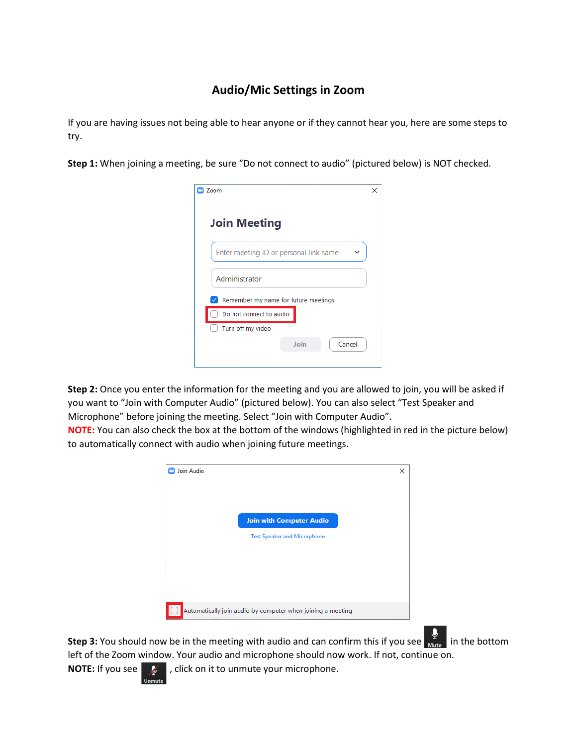## **Audio/Mic Settings in Zoom**

If you are having issues not being able to hear anyone or if they cannot hear you, here are some steps to try.

**Step 1:** When joining a meeting, be sure "Do not connect to audio" (pictured below) is NOT checked.

| Zoom                                   | × |
|----------------------------------------|---|
| <b>Join Meeting</b>                    |   |
| Enter meeting ID or personal link name |   |
| Administrator                          |   |
| Remember my name for future meetings   |   |
| Do not connect to audio                |   |
| Turn off my video                      |   |
| Join<br>Cancel                         |   |
|                                        |   |

**Step 2:** Once you enter the information for the meeting and you are allowed to join, you will be asked if you want to "Join with Computer Audio" (pictured below). You can also select "Test Speaker and Microphone" before joining the meeting. Select "Join with Computer Audio".

**NOTE:** You can also check the box at the bottom of the windows (highlighted in red in the picture below) to automatically connect with audio when joining future meetings.



**Step 3:** You should now be in the meeting with audio and can confirm this if you see  $\frac{1}{M}$  in the bottomleft of the Zoom window. Your audio and microphone should now work. If not, continue on.

**NOTE:** If you see  $\mathcal{L}$  , click on it to unmute your microphone.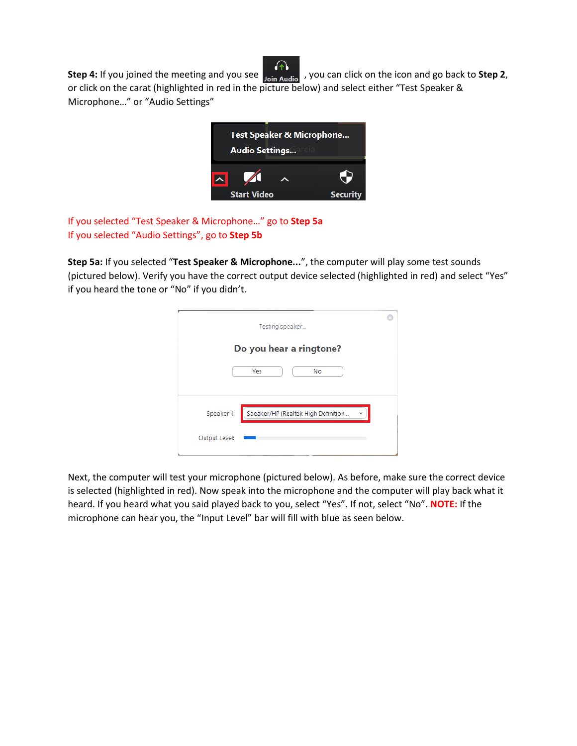

**Step 4:** If you joined the meeting and you see  $\frac{1}{\text{Join} \text{Audio}}$ , you can click on the icon and go back to **Step 2**, or click on the carat (highlighted in red in the picture below) and select either "Test Speaker & Microphone…" or "Audio Settings"



If you selected "Test Speaker & Microphone…" go to **Step 5a** If you selected "Audio Settings", go to **Step 5b**

**Step 5a:** If you selected "**Test Speaker & Microphone...**", the computer will play some test sounds (pictured below). Verify you have the correct output device selected (highlighted in red) and select "Yes" if you heard the tone or "No" if you didn't.

| Testing speaker                                                                         |  |  |  |  |
|-----------------------------------------------------------------------------------------|--|--|--|--|
| Do you hear a ringtone?                                                                 |  |  |  |  |
| Yes<br>No                                                                               |  |  |  |  |
|                                                                                         |  |  |  |  |
| $[ \texttt{Speaker/HP} \texttt{(Realtek High Definition}$<br>Speaker 1:<br>$\checkmark$ |  |  |  |  |
| Output Level:                                                                           |  |  |  |  |

Next, the computer will test your microphone (pictured below). As before, make sure the correct device is selected (highlighted in red). Now speak into the microphone and the computer will play back what it heard. If you heard what you said played back to you, select "Yes". If not, select "No". **NOTE:** If the microphone can hear you, the "Input Level" bar will fill with blue as seen below.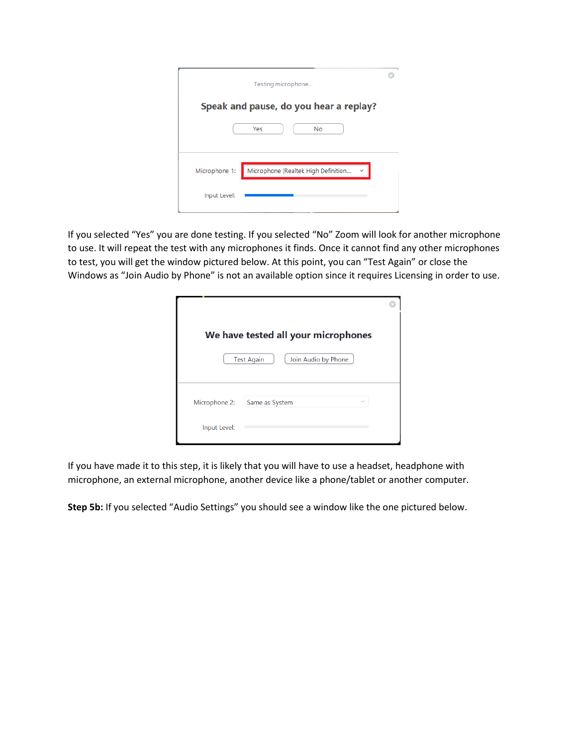| Testing microphone                                   |  |
|------------------------------------------------------|--|
| Speak and pause, do you hear a replay?               |  |
| Yes<br>No                                            |  |
|                                                      |  |
| Microphone (Realtek High Definition<br>Microphone 1: |  |
| Input Level:                                         |  |

If you selected "Yes" you are done testing. If you selected "No" Zoom will look for another microphone to use. It will repeat the test with any microphones it finds. Once it cannot find any other microphones to test, you will get the window pictured below. At this point, you can "Test Again" or close the Windows as "Join Audio by Phone" is not an available option since it requires Licensing in order to use.

|               | We have tested all your microphones      |  |
|---------------|------------------------------------------|--|
|               | <b>Test Again</b><br>Join Audio by Phone |  |
| Microphone 2: | Same as System<br>$\checkmark$           |  |
| Input Level:  |                                          |  |

If you have made it to this step, it is likely that you will have to use a headset, headphone with microphone, an external microphone, another device like a phone/tablet or another computer.

**Step 5b:** If you selected "Audio Settings" you should see a window like the one pictured below.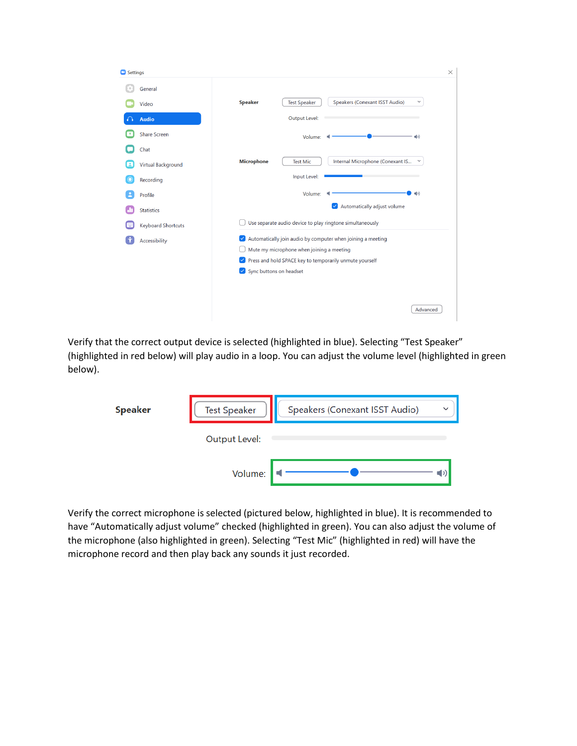| Settings |                           |                                                                                         | $\times$ |
|----------|---------------------------|-----------------------------------------------------------------------------------------|----------|
|          | General                   |                                                                                         |          |
|          | Video                     | Speakers (Conexant ISST Audio)<br><b>Speaker</b><br><b>Test Speaker</b><br>$\checkmark$ |          |
|          | <b>Audio</b>              | <b>Output Level:</b>                                                                    |          |
|          | <b>Share Screen</b>       | Volume:<br>$\blacksquare$                                                               |          |
|          | Chat                      |                                                                                         |          |
|          | <b>Virtual Background</b> | Internal Microphone (Conexant IS<br><b>Microphone</b><br><b>Test Mic</b><br>$\check{~}$ |          |
|          | Recording                 | Input Level:                                                                            |          |
|          | Profile                   | Volume:<br>$\left(\left  \cdot \right  \right)$                                         |          |
|          | <b>Statistics</b>         | Automatically adjust volume<br>$\checkmark$                                             |          |
|          | <b>Keyboard Shortcuts</b> | Use separate audio device to play ringtone simultaneously                               |          |
| ÷        | Accessibility             | Automatically join audio by computer when joining a meeting<br>$\sim$                   |          |
|          |                           | Mute my microphone when joining a meeting                                               |          |
|          |                           | Press and hold SPACE key to temporarily unmute yourself<br>$\vert\downarrow\vert$       |          |
|          |                           | Sync buttons on headset<br>$\vee$                                                       |          |
|          |                           |                                                                                         |          |
|          |                           |                                                                                         |          |
|          |                           | Advanced                                                                                |          |

Verify that the correct output device is selected (highlighted in blue). Selecting "Test Speaker" (highlighted in red below) will play audio in a loop. You can adjust the volume level (highlighted in green below).

| <b>Speaker</b> | <b>Test Speaker</b> | Speakers (Conexant ISST Audio)<br>$\checkmark$ |
|----------------|---------------------|------------------------------------------------|
|                | Output Level:       |                                                |
|                | Volume:             |                                                |

Verify the correct microphone is selected (pictured below, highlighted in blue). It is recommended to have "Automatically adjust volume" checked (highlighted in green). You can also adjust the volume of the microphone (also highlighted in green). Selecting "Test Mic" (highlighted in red) will have the microphone record and then play back any sounds it just recorded.